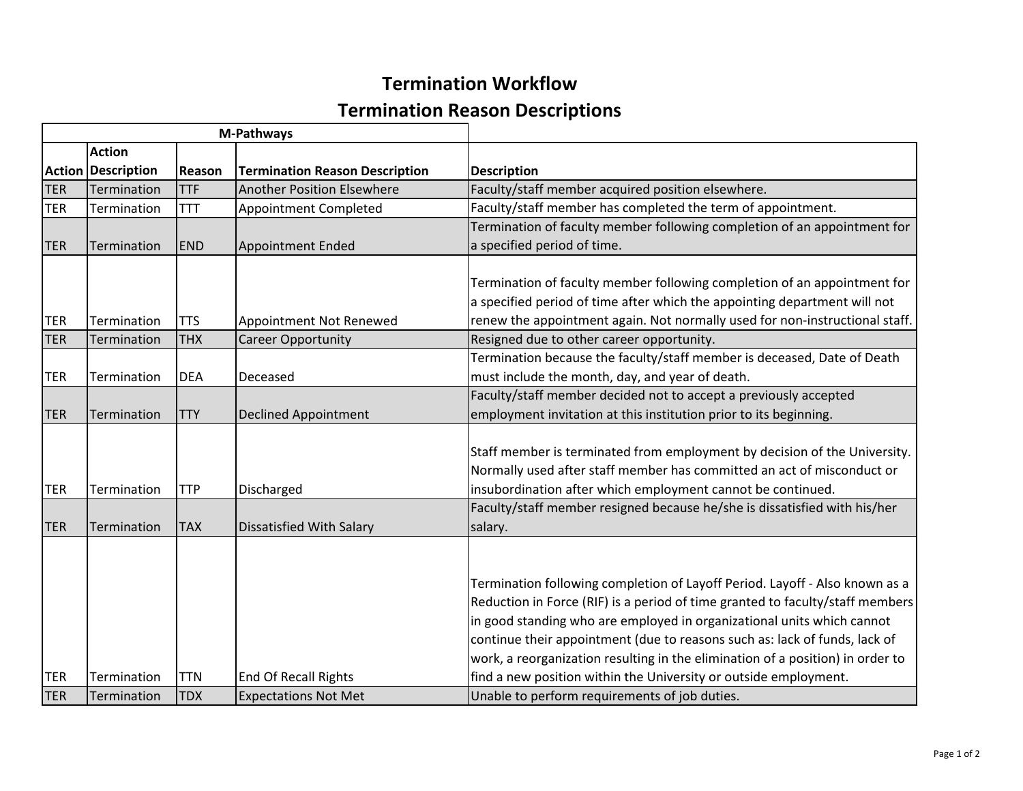## **Termination Workflow Termination Reason Descriptions**

| <b>M-Pathways</b><br><b>Action</b><br><b>Action Description</b><br><b>Termination Reason Description</b><br>Reason<br><b>TER</b><br>Termination<br><b>TTF</b><br><b>Another Position Elsewhere</b><br><b>TER</b><br><b>TTT</b><br><b>Appointment Completed</b><br>Termination |                            |                          |                                                            |                                                                                                                                                                                                                                                                                                                                                                                                                                                                                                                             |
|-------------------------------------------------------------------------------------------------------------------------------------------------------------------------------------------------------------------------------------------------------------------------------|----------------------------|--------------------------|------------------------------------------------------------|-----------------------------------------------------------------------------------------------------------------------------------------------------------------------------------------------------------------------------------------------------------------------------------------------------------------------------------------------------------------------------------------------------------------------------------------------------------------------------------------------------------------------------|
|                                                                                                                                                                                                                                                                               |                            |                          |                                                            | <b>Description</b>                                                                                                                                                                                                                                                                                                                                                                                                                                                                                                          |
|                                                                                                                                                                                                                                                                               |                            |                          |                                                            | Faculty/staff member acquired position elsewhere.                                                                                                                                                                                                                                                                                                                                                                                                                                                                           |
|                                                                                                                                                                                                                                                                               |                            |                          |                                                            | Faculty/staff member has completed the term of appointment.                                                                                                                                                                                                                                                                                                                                                                                                                                                                 |
| <b>TER</b>                                                                                                                                                                                                                                                                    | Termination                | <b>END</b>               | <b>Appointment Ended</b>                                   | Termination of faculty member following completion of an appointment for<br>a specified period of time.                                                                                                                                                                                                                                                                                                                                                                                                                     |
| <b>TER</b>                                                                                                                                                                                                                                                                    | Termination                | <b>TTS</b>               | Appointment Not Renewed                                    | Termination of faculty member following completion of an appointment for<br>a specified period of time after which the appointing department will not<br>renew the appointment again. Not normally used for non-instructional staff.                                                                                                                                                                                                                                                                                        |
| <b>TER</b>                                                                                                                                                                                                                                                                    | Termination                | <b>THX</b>               | <b>Career Opportunity</b>                                  | Resigned due to other career opportunity.                                                                                                                                                                                                                                                                                                                                                                                                                                                                                   |
| <b>TER</b>                                                                                                                                                                                                                                                                    | Termination                | <b>DEA</b>               | Deceased                                                   | Termination because the faculty/staff member is deceased, Date of Death<br>must include the month, day, and year of death.                                                                                                                                                                                                                                                                                                                                                                                                  |
| <b>TER</b>                                                                                                                                                                                                                                                                    | Termination                | <b>TTY</b>               | <b>Declined Appointment</b>                                | Faculty/staff member decided not to accept a previously accepted<br>employment invitation at this institution prior to its beginning.                                                                                                                                                                                                                                                                                                                                                                                       |
| <b>TER</b>                                                                                                                                                                                                                                                                    | Termination                | <b>TTP</b>               | Discharged                                                 | Staff member is terminated from employment by decision of the University.<br>Normally used after staff member has committed an act of misconduct or<br>insubordination after which employment cannot be continued.                                                                                                                                                                                                                                                                                                          |
| <b>TER</b>                                                                                                                                                                                                                                                                    | Termination                | <b>TAX</b>               | <b>Dissatisfied With Salary</b>                            | Faculty/staff member resigned because he/she is dissatisfied with his/her<br>salary.                                                                                                                                                                                                                                                                                                                                                                                                                                        |
| TER<br><b>TER</b>                                                                                                                                                                                                                                                             | Termination<br>Termination | <b>TTN</b><br><b>TDX</b> | <b>End Of Recall Rights</b><br><b>Expectations Not Met</b> | Termination following completion of Layoff Period. Layoff - Also known as a<br>Reduction in Force (RIF) is a period of time granted to faculty/staff members<br>in good standing who are employed in organizational units which cannot<br>continue their appointment (due to reasons such as: lack of funds, lack of<br>work, a reorganization resulting in the elimination of a position) in order to<br>find a new position within the University or outside employment.<br>Unable to perform requirements of job duties. |